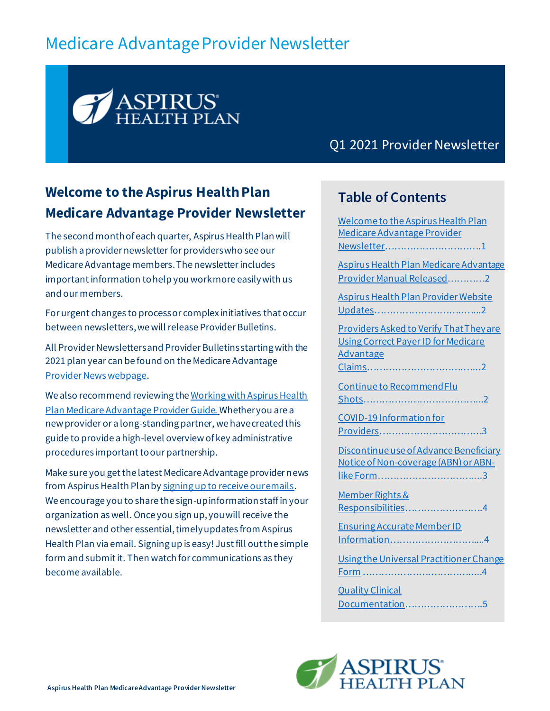# Medicare Advantage Provider Newsletter



Q1 2021 Provider Newsletter

# <span id="page-0-0"></span>**Welcome to the Aspirus Health Plan Medicare Advantage Provider Newsletter**

The second month of each quarter, Aspirus Health Planwill publish a provider newsletter for providers who see our Medicare Advantage members. The newsletter includes important information to help you work more easily with us and our members.

For urgent changes to process or complex initiatives that occur between newsletters, we will release Provider Bulletins.

All Provider Newsletters and Provider Bulletins starting with the 2021 plan year can be found on the Medicare Advantag[e](https://www.aspirushealthplan.com/medicare/providers/provider-news/) [Provider News webpage](https://www.aspirushealthplan.com/medicare/providers/provider-news/).

We also recommend reviewing th[e Working with Aspirus Health](https://www.aspirushealthplan.com/medicare/wp-content/uploads/provider/documents/Bulletin_2020_November_WorkingWithAspirusHealthPlanMA.pdf)  [Plan Medicare Advantage Provider Guide.](https://www.aspirushealthplan.com/medicare/wp-content/uploads/provider/documents/Bulletin_2020_November_WorkingWithAspirusHealthPlanMA.pdf) Whether you are a new provider or a long-standing partner, we have created this guide to provide a high-level overview of key administrative procedures important to our partnership.

Make sure you get the latest Medicare Advantage provider news from Aspirus Health Plan b[y signing up to receive our emails](https://lp.constantcontactpages.com/su/vsR62sD). We encourage you to share the sign-up informationstaff in your organization as well. Once you sign up, you will receive the newsletter and other essential, timely updates from Aspirus Health Plan via email. Signing up is easy! Just fill out the simple form and submit it. Then watch for communications as they become available.

#### **Table of Contents**

[Welcome to the Aspirus Health Plan](#page-0-0)  [Medicare Advantage Provider](#page-0-0)  Newsletter[………………………….](#page-0-0)1 [Aspirus Health Plan Medicare Advantage](#page-1-0)  [Provider Manual Released](#page-1-0)…………2 [Aspirus Health Plan Provider Website](#page-1-1)  Updates[………………………..…...](#page-1-1)2 [Providers Asked to Verify That They are](#page-1-2)  [Using Correct Payer ID for Medicare](#page-1-2)  [Advantage](#page-1-2)  Claims[………………………….…...2](#page-1-2) Continue [to Recommend Flu](#page-1-3)  Shots[………………………………...2](#page-1-3) [COVID-19 Information for](#page-2-0)  Providers[……………………………](#page-2-0)3 [Discontinue use of Advance Beneficiary](#page-2-1)  [Notice of Non-coverage \(ABN\) or ABN](#page-2-1)like Form[…………………………...](#page-2-1).3 [Member Rights &](#page-3-0)  Responsibilities[…………………….](#page-3-0)4 [Ensuring Accurate Member ID](#page-3-1)  Information[………………………](#page-3-1)....4 [Using the Universal Practitioner Change](#page-3-2)  Form [………………….…………....](#page-3-2).4 [Quality Clinical](#page-4-0) 

Documentation[…………………….](#page-4-0)5

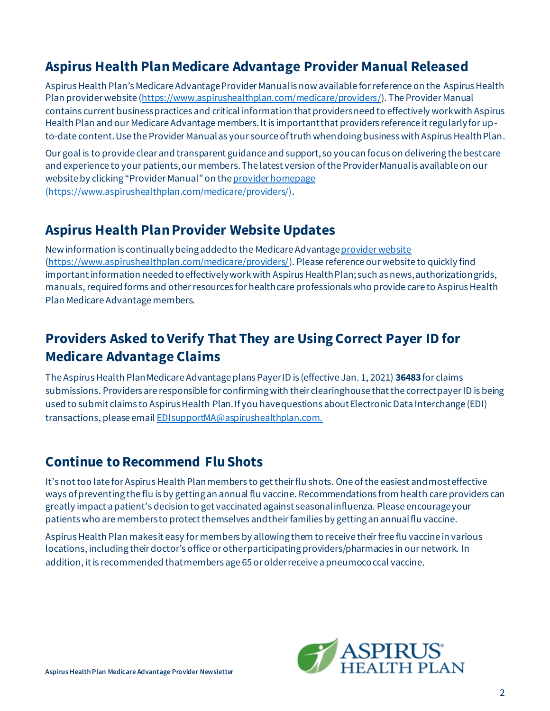### <span id="page-1-0"></span>**Aspirus Health Plan Medicare Advantage Provider Manual Released**

Aspirus Health Plan's Medicare Advantage Provider Manual is now available for reference on the Aspirus Health Plan provider website [\(https://www.aspirushealthplan.com/medicare/providers/](https://www.aspirushealthplan.com/medicare/providers/)). The Provider Manual contains current business practices and critical information that providers need to effectively work with Aspirus Health Plan and our Medicare Advantage members. It is important that providers reference it regularly for upto-date content. Use the Provider Manual as your source of truth when doing business with Aspirus Health Plan.

Our goal is to provide clear and transparent guidance and support, so you can focus on delivering the best care and experience to your patients, our members. The latest version of the Provider Manual is available on our website by clicking "Provider Manual" on the [provider homepage](https://www.aspirushealthplan.com/medicare/providers/)  [\(https://www.aspirushealthplan.com/medicare/providers/\)](https://www.aspirushealthplan.com/medicare/providers/).

#### <span id="page-1-1"></span>**Aspirus Health Plan Provider Website Updates**

New information is continually being added to the Medicare Advantag[e provider website](https://www.aspirushealthplan.com/medicare/providers/) [\(https://www.aspirushealthplan.com/medicare/providers/](https://www.aspirushealthplan.com/medicare/providers/)). Please reference our website to quickly find important information needed to effectively work with Aspirus Health Plan; such as news, authorization grids, manuals, required forms and other resources for health care professionals who provide care to Aspirus Health Plan Medicare Advantage members.

# <span id="page-1-2"></span>**Providers Asked to Verify That They are Using Correct Payer ID for Medicare Advantage Claims**

The Aspirus Health Plan Medicare Advantage plans Payer ID is (effective Jan. 1, 2021) **36483**for claims submissions. Providers are responsible for confirming with their clearinghouse that the correct payer ID is being used to submit claims to Aspirus Health Plan. If you have questions about Electronic Data Interchange (EDI) transactions, please emai[l EDIsupportMA@aspirushealthplan.com.](mailto:EDIsupportMA@aspirushealthplan.com.)

# <span id="page-1-3"></span>**Continue to Recommend Flu Shots**

It's not too late for Aspirus Health Plan members to get their flu shots. One of the easiest and most effective ways of preventing the flu is by getting an annual flu vaccine. Recommendations from health care providers can greatly impact a patient's decision to get vaccinated against seasonal influenza. Please encourage your patients who are members to protect themselves and their families by getting an annual flu vaccine.

Aspirus Health Plan makes it easy for members by allowing them to receive their free flu vaccine in various locations, including their doctor's office or other participating providers/pharmacies in our network. In addition, it is recommended that members age 65 or older receive a pneumococcal vaccine.

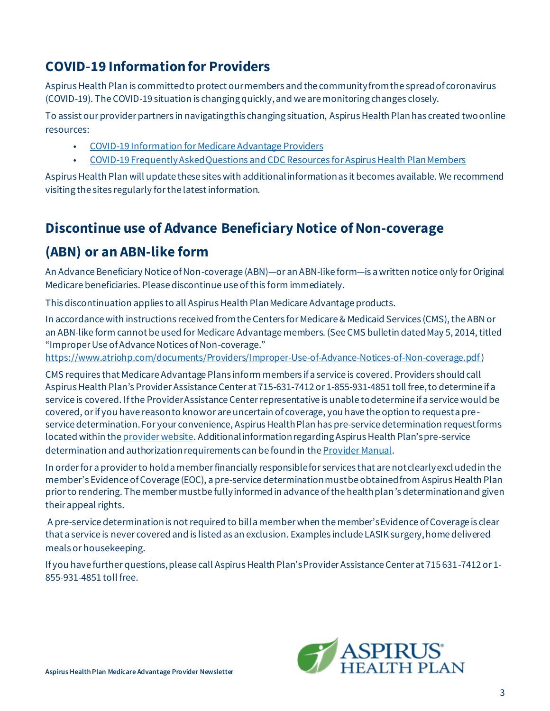# <span id="page-2-0"></span>**COVID-19 Information for Providers**

Aspirus Health Plan is committed to protect our members and the community from the spread of coronavirus (COVID-19). The COVID-19 situation is changing quickly, and we are monitoring changes closely.

To assist our provider partners in navigating this changing situation, Aspirus Health Planhas created twoonline resources:

- [COVID-19 Information for Medicare Advantage](https://www.aspirushealthplan.com/medicare/wp-content/uploads/provider/documents/COVIDInfoProviders_MASTER_ASP.pdf) Providers
- [COVID-19 Frequently Asked Questions](https://www.aspirus.org/covid19-faqs) and CDC Resources for Aspirus Health Plan Members

Aspirus Health Plan will update these sites with additional information as it becomes available. We recommend visiting the sites regularly for the latest information.

### <span id="page-2-1"></span>**Discontinue use of Advance Beneficiary Notice of Non-coverage**

#### **(ABN) or an ABN-like form**

An Advance Beneficiary Notice of Non-coverage (ABN)—or an ABN-like form—is a written notice only for Original Medicare beneficiaries. Please discontinue use of this form immediately.

This discontinuation applies to all Aspirus Health Plan Medicare Advantage products.

In accordance with instructions received from the Centers for Medicare & Medicaid Services (CMS), the ABN or an ABN-like form cannot be used for Medicare Advantage members. (See CMS bulletin dated May 5, 2014, titled "Improper Use of Advance Notices of Non-coverage."

<https://www.atriohp.com/documents/Providers/Improper-Use-of-Advance-Notices-of-Non-coverage.pdf>)

CMS requires that Medicare Advantage Plans inform members if a service is covered. Providers should call Aspirus Health Plan's Provider Assistance Center at 715-631-7412 or 1-855-931-4851 toll free,to determine if a service is covered. If the Provider Assistance Centerrepresentative is unable to determine if a service would be covered, or if you have reason to know or are uncertain of coverage, you have the option to request a preservice determination. For your convenience, Aspirus Health Plan has pre-service determination request forms located within the [provider website](https://www.aspirushealthplan.com/medicare/providers/). Additional information regarding Aspirus Health Plan's pre-service determination and authorization requirements can be found in the [Provider Manual](https://www.aspirushealthplan.com/medicare/wp-content/uploads/provider/ahp-provider-manual/AspirusHealthPlanMedicareAdvantagePlansProviderManual.pdf).

In order for a provider to hold a member financially responsible for services that are not clearly excl uded in the member's Evidence of Coverage (EOC), a pre-service determination must be obtained from Aspirus Health Plan prior to rendering. The member must be fully informed in advance of the health plan's determination and given their appeal rights.

A pre-service determination is not required to bill a member when the member's Evidence of Coverage is clear that a service is never covered and is listed as an exclusion. Examples include LASIK surgery, home delivered meals or housekeeping.

If you have further questions, please call Aspirus Health Plan's Provider Assistance Center at 715 631-7412 or 1- 855-931-4851 toll free.

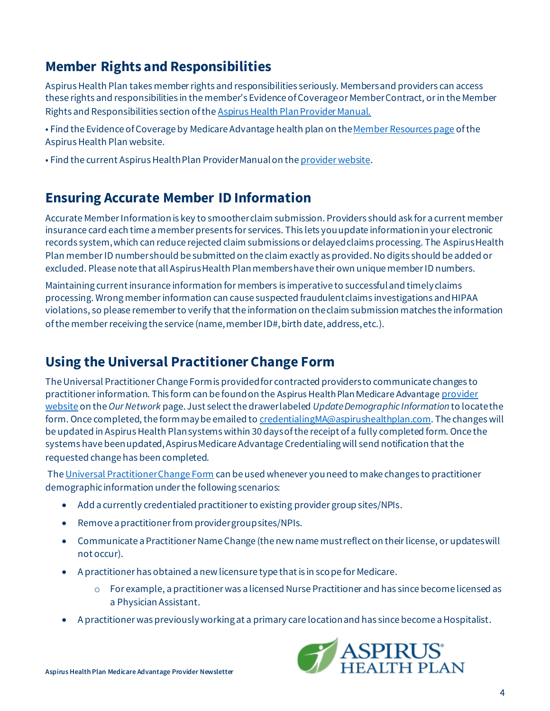# <span id="page-3-0"></span>**Member Rights and Responsibilities**

Aspirus Health Plan takes member rights and responsibilities seriously. Members and providers can access these rights and responsibilities in the member's Evidence of Coverage or Member Contract, or in the Member Rights and Responsibilities section of th[e Aspirus Health Plan Provider Manual.](https://www.aspirushealthplan.com/medicare/wp-content/uploads/provider/ahp-provider-manual/AspirusHealthPlanMedicareAdvantagePlansProviderManual.pdf)

- Find the Evidence of Coverage by Medicare Advantage health plan on the Member Resources page of the Aspirus Health Plan website.
- Find the current Aspirus Health Plan Provider Manualon the [provider website](https://www.aspirushealthplan.com/medicare/providers/).

#### <span id="page-3-1"></span>**Ensuring Accurate Member ID Information**

Accurate Member Information is key to smoother claim submission. Providers should ask for a current member insurance card each time a member presents for services. This lets you update information in your electronic records system, which can reduce rejected claim submissions or delayed claims processing. The Aspirus Health Plan member ID number should be submitted on the claim exactly as provided. No digits should be added or excluded. Please note that all Aspirus Health Planmembers have their own unique member ID numbers.

Maintaining current insurance information for members is imperative to successful and timely claims processing. Wrong member information can cause suspected fraudulent claims investigations and HIPAA violations, so please remember to verify that the information on the claim submission matches the information of the member receiving the service (name, member ID#, birth date, address, etc.).

### <span id="page-3-2"></span>**Using the Universal Practitioner Change Form**

The Universal Practitioner Change Form is provided for contracted providers to communicate changes to practitioner information. This form can be found on the Aspirus Health Plan Medicare Advantage provider [website](https://www.aspirushealthplan.com/medicare/providers/) on the *Our Network* page. Just select the drawer labeled *Update Demographic Information* to locate the form. Once completed, the form may be emailed to credentialing MA@aspirushealthplan.com. The changes will be updated in Aspirus Health Plan systems within 30 days of the receipt of a fully completed form. Once the systems have been updated, Aspirus Medicare Advantage Credentialing will send notification that the requested change has been completed.

Th[e Universal Practitioner Change Form](https://www.aspirushealthplan.com/medicare/wp-content/uploads/provider/network/UniformPracChangeForm_ASP.pdf) can be used whenever you need to make changes to practitioner demographic information under the following scenarios:

- Add a currently credentialed practitioner to existing provider group sites/NPIs.
- Remove a practitioner from provider group sites/NPIs.
- Communicate a Practitioner Name Change (the new name must reflect on their license, or updates will not occur).
- A practitioner has obtained a new licensure type that is in scope for Medicare.
	- o For example, a practitioner was a licensed Nurse Practitioner and has since become licensed as a Physician Assistant.
- A practitioner was previously working at a primary care location and has since become a Hospitalist.

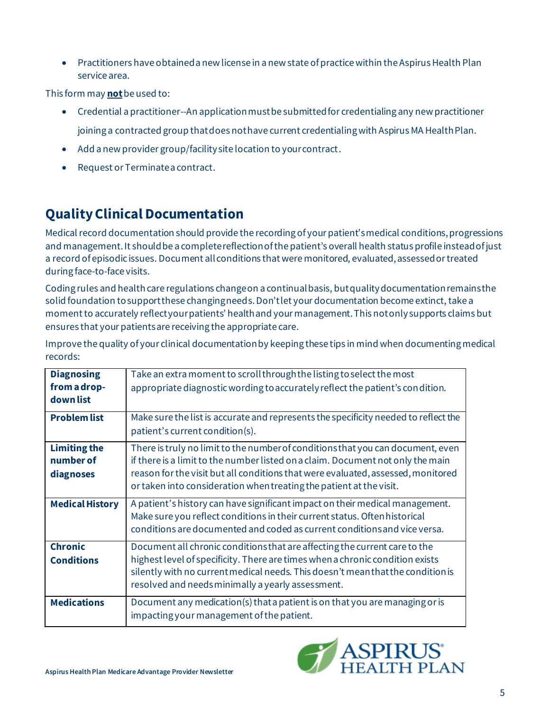• Practitioners have obtained a new license in a new state of practice within the Aspirus Health Plan service area.

This form may **not** be used to:

- Credential a practitioner--An application must be submitted for credentialing any new practitioner joining a contracted group that does not have current credentialing with Aspirus MA Health Plan.
- Add a new provider group/facility site location to your contract.
- Request or Terminate a contract.

# <span id="page-4-0"></span>**Quality Clinical Documentation**

Medical record documentation should provide the recording of your patient's medical conditions, progressions and management. It should be a complete reflection of the patient's overall health status profile instead of just a record of episodic issues. Document all conditions that were monitored, evaluated, assessed or treated during face-to-face visits.

Coding rules and health care regulations change on a continual basis, but quality documentation remains the solid foundation to support these changing needs. Don't let your documentation become extinct, take a moment to accurately reflect your patients' health and your management. This not only supports claims but ensures that your patients are receiving the appropriate care.

| <b>Diagnosing</b>      | Take an extra moment to scroll through the listing to select the most                                                                                                                                                                   |
|------------------------|-----------------------------------------------------------------------------------------------------------------------------------------------------------------------------------------------------------------------------------------|
| from a drop-           | appropriate diagnostic wording to accurately reflect the patient's condition.                                                                                                                                                           |
| down list              |                                                                                                                                                                                                                                         |
| <b>Problem list</b>    | Make sure the list is accurate and represents the specificity needed to reflect the                                                                                                                                                     |
|                        | patient's current condition(s).                                                                                                                                                                                                         |
| <b>Limiting the</b>    | There is truly no limit to the number of conditions that you can document, even                                                                                                                                                         |
| number of              | if there is a limit to the number listed on a claim. Document not only the main                                                                                                                                                         |
| diagnoses              | reason for the visit but all conditions that were evaluated, assessed, monitored                                                                                                                                                        |
|                        | or taken into consideration when treating the patient at the visit.                                                                                                                                                                     |
| <b>Medical History</b> | A patient's history can have significant impact on their medical management.<br>Make sure you reflect conditions in their current status. Often historical<br>conditions are documented and coded as current conditions and vice versa. |
| <b>Chronic</b>         | Document all chronic conditions that are affecting the current care to the                                                                                                                                                              |
| <b>Conditions</b>      | highest level of specificity. There are times when a chronic condition exists<br>silently with no current medical needs. This doesn't mean that the condition is<br>resolved and needs minimally a yearly assessment.                   |
| <b>Medications</b>     | Document any medication(s) that a patient is on that you are managing or is<br>impacting your management of the patient.                                                                                                                |

Improve the quality of your clinical documentation by keeping these tips in mind when documenting medical records: